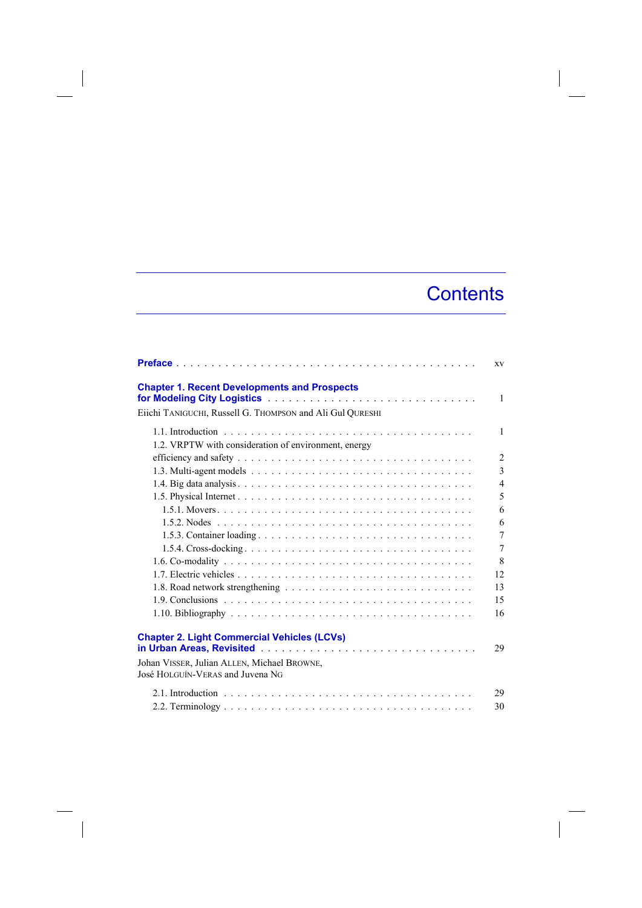## **Contents**

|                                                                                                                                                                              | XV             |
|------------------------------------------------------------------------------------------------------------------------------------------------------------------------------|----------------|
| <b>Chapter 1. Recent Developments and Prospects</b><br>for Modeling City Logistics <b>Construction Construction</b> Construction Construction Construction Construction Cons | $\mathbf{1}$   |
| Eiichi TANIGUCHI, Russell G. THOMPSON and Ali Gul QURESHI                                                                                                                    |                |
| 1.2. VRPTW with consideration of environment, energy                                                                                                                         | $\mathbf{1}$   |
|                                                                                                                                                                              | $\overline{2}$ |
|                                                                                                                                                                              | 3              |
|                                                                                                                                                                              | $\overline{4}$ |
|                                                                                                                                                                              | 5              |
|                                                                                                                                                                              | 6              |
|                                                                                                                                                                              | 6              |
|                                                                                                                                                                              | $\overline{7}$ |
|                                                                                                                                                                              | $\overline{7}$ |
|                                                                                                                                                                              | 8              |
|                                                                                                                                                                              | 12             |
|                                                                                                                                                                              | 13             |
|                                                                                                                                                                              | 15             |
|                                                                                                                                                                              | 16             |
| <b>Chapter 2. Light Commercial Vehicles (LCVs)</b>                                                                                                                           | 29             |
| Johan VISSER, Julian ALLEN, Michael BROWNE,<br>José HOLGUÍN-VERAS and Juvena NG                                                                                              |                |
|                                                                                                                                                                              | 29             |
|                                                                                                                                                                              | 30             |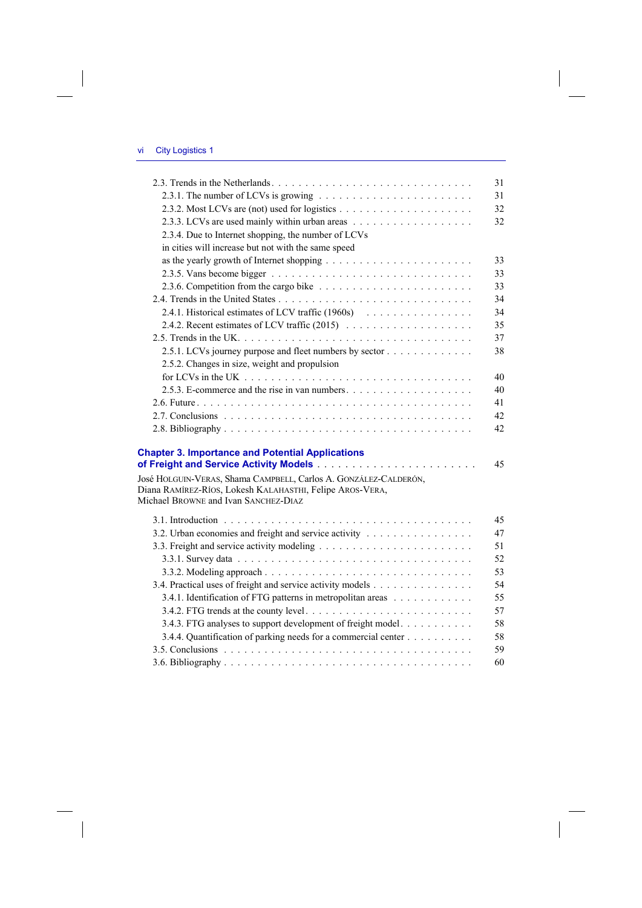| 2.3.1. The number of LCVs is growing $\ldots \ldots \ldots \ldots \ldots \ldots \ldots \ldots$<br>2.3.4. Due to Internet shopping, the number of LCVs<br>in cities will increase but not with the same speed<br>as the yearly growth of Internet shopping $\dots \dots \dots \dots \dots \dots \dots \dots$<br>2.4.1. Historical estimates of LCV traffic (1960s)<br>2.5.1. LCVs journey purpose and fleet numbers by sector<br>2.5.2. Changes in size, weight and propulsion<br>for LCVs in the UK $\ldots \ldots \ldots \ldots \ldots \ldots \ldots \ldots \ldots \ldots \ldots \ldots$ | 31<br>32<br>32<br>33<br>33<br>33<br>34<br>34<br>35<br>37<br>38<br>40 |
|-------------------------------------------------------------------------------------------------------------------------------------------------------------------------------------------------------------------------------------------------------------------------------------------------------------------------------------------------------------------------------------------------------------------------------------------------------------------------------------------------------------------------------------------------------------------------------------------|----------------------------------------------------------------------|
|                                                                                                                                                                                                                                                                                                                                                                                                                                                                                                                                                                                           |                                                                      |
|                                                                                                                                                                                                                                                                                                                                                                                                                                                                                                                                                                                           |                                                                      |
|                                                                                                                                                                                                                                                                                                                                                                                                                                                                                                                                                                                           |                                                                      |
|                                                                                                                                                                                                                                                                                                                                                                                                                                                                                                                                                                                           |                                                                      |
|                                                                                                                                                                                                                                                                                                                                                                                                                                                                                                                                                                                           |                                                                      |
|                                                                                                                                                                                                                                                                                                                                                                                                                                                                                                                                                                                           |                                                                      |
|                                                                                                                                                                                                                                                                                                                                                                                                                                                                                                                                                                                           |                                                                      |
|                                                                                                                                                                                                                                                                                                                                                                                                                                                                                                                                                                                           |                                                                      |
|                                                                                                                                                                                                                                                                                                                                                                                                                                                                                                                                                                                           |                                                                      |
|                                                                                                                                                                                                                                                                                                                                                                                                                                                                                                                                                                                           |                                                                      |
|                                                                                                                                                                                                                                                                                                                                                                                                                                                                                                                                                                                           |                                                                      |
|                                                                                                                                                                                                                                                                                                                                                                                                                                                                                                                                                                                           |                                                                      |
|                                                                                                                                                                                                                                                                                                                                                                                                                                                                                                                                                                                           |                                                                      |
|                                                                                                                                                                                                                                                                                                                                                                                                                                                                                                                                                                                           |                                                                      |
|                                                                                                                                                                                                                                                                                                                                                                                                                                                                                                                                                                                           |                                                                      |
|                                                                                                                                                                                                                                                                                                                                                                                                                                                                                                                                                                                           | 40                                                                   |
|                                                                                                                                                                                                                                                                                                                                                                                                                                                                                                                                                                                           | 41                                                                   |
|                                                                                                                                                                                                                                                                                                                                                                                                                                                                                                                                                                                           | 42                                                                   |
|                                                                                                                                                                                                                                                                                                                                                                                                                                                                                                                                                                                           | 42                                                                   |
|                                                                                                                                                                                                                                                                                                                                                                                                                                                                                                                                                                                           |                                                                      |
| <b>Chapter 3. Importance and Potential Applications</b>                                                                                                                                                                                                                                                                                                                                                                                                                                                                                                                                   |                                                                      |
|                                                                                                                                                                                                                                                                                                                                                                                                                                                                                                                                                                                           | 45                                                                   |
| José HOLGUIN-VERAS, Shama CAMPBELL, Carlos A. GONZÁLEZ-CALDERÓN,                                                                                                                                                                                                                                                                                                                                                                                                                                                                                                                          |                                                                      |
| Diana RAMÍREZ-RÍOS, Lokesh KALAHASTHI, Felipe AROS-VERA,<br>Michael BROWNE and Ivan SANCHEZ-DIAZ                                                                                                                                                                                                                                                                                                                                                                                                                                                                                          |                                                                      |
|                                                                                                                                                                                                                                                                                                                                                                                                                                                                                                                                                                                           |                                                                      |
|                                                                                                                                                                                                                                                                                                                                                                                                                                                                                                                                                                                           | 45                                                                   |
| 3.2. Urban economies and freight and service activity                                                                                                                                                                                                                                                                                                                                                                                                                                                                                                                                     | 47                                                                   |
|                                                                                                                                                                                                                                                                                                                                                                                                                                                                                                                                                                                           | 51                                                                   |
|                                                                                                                                                                                                                                                                                                                                                                                                                                                                                                                                                                                           | 52                                                                   |
|                                                                                                                                                                                                                                                                                                                                                                                                                                                                                                                                                                                           | 53                                                                   |
| 3.4. Practical uses of freight and service activity models                                                                                                                                                                                                                                                                                                                                                                                                                                                                                                                                | 54                                                                   |
| 3.4.1. Identification of FTG patterns in metropolitan areas                                                                                                                                                                                                                                                                                                                                                                                                                                                                                                                               | 55                                                                   |
|                                                                                                                                                                                                                                                                                                                                                                                                                                                                                                                                                                                           | 57                                                                   |
| 3.4.3. FTG analyses to support development of freight model.                                                                                                                                                                                                                                                                                                                                                                                                                                                                                                                              | 58                                                                   |
| 3.4.4. Quantification of parking needs for a commercial center                                                                                                                                                                                                                                                                                                                                                                                                                                                                                                                            | 58                                                                   |
|                                                                                                                                                                                                                                                                                                                                                                                                                                                                                                                                                                                           | 59                                                                   |
| 60                                                                                                                                                                                                                                                                                                                                                                                                                                                                                                                                                                                        |                                                                      |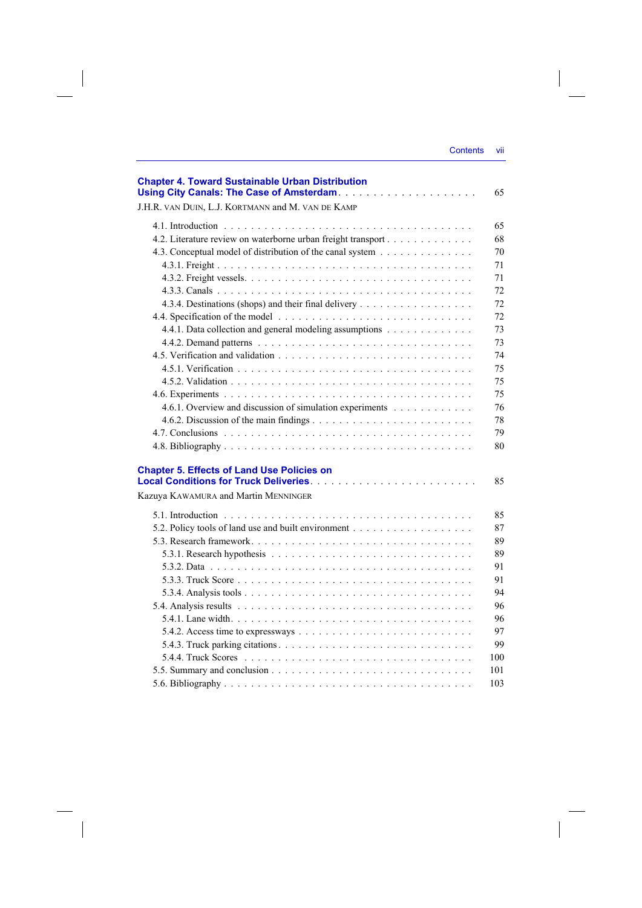| <b>Chapter 4. Toward Sustainable Urban Distribution</b>      | 65  |
|--------------------------------------------------------------|-----|
| J.H.R. VAN DUIN, L.J. KORTMANN and M. VAN DE KAMP            |     |
|                                                              | 65  |
| 4.2. Literature review on waterborne urban freight transport | 68  |
| 4.3. Conceptual model of distribution of the canal system    | 70  |
|                                                              | 71  |
|                                                              | 71  |
|                                                              | 72  |
| 4.3.4. Destinations (shops) and their final delivery         | 72  |
|                                                              | 72  |
| 4.4.1. Data collection and general modeling assumptions      | 73  |
|                                                              | 73  |
|                                                              | 74  |
|                                                              | 75  |
|                                                              |     |
|                                                              | 75  |
|                                                              | 75  |
| 4.6.1. Overview and discussion of simulation experiments     | 76  |
|                                                              | 78  |
|                                                              | 79  |
|                                                              | 80  |
| <b>Chapter 5. Effects of Land Use Policies on</b>            |     |
|                                                              | 85  |
| Kazuya KAWAMURA and Martin MENNINGER                         |     |
|                                                              | 85  |
|                                                              | 87  |
|                                                              | 89  |
|                                                              | 89  |
|                                                              | 91  |
|                                                              | 91  |
|                                                              |     |
|                                                              | 94  |
|                                                              | 96  |
|                                                              | 96  |
|                                                              | 97  |
|                                                              | 99  |
|                                                              | 100 |
|                                                              | 101 |
|                                                              | 103 |

 $\overline{\phantom{a}}$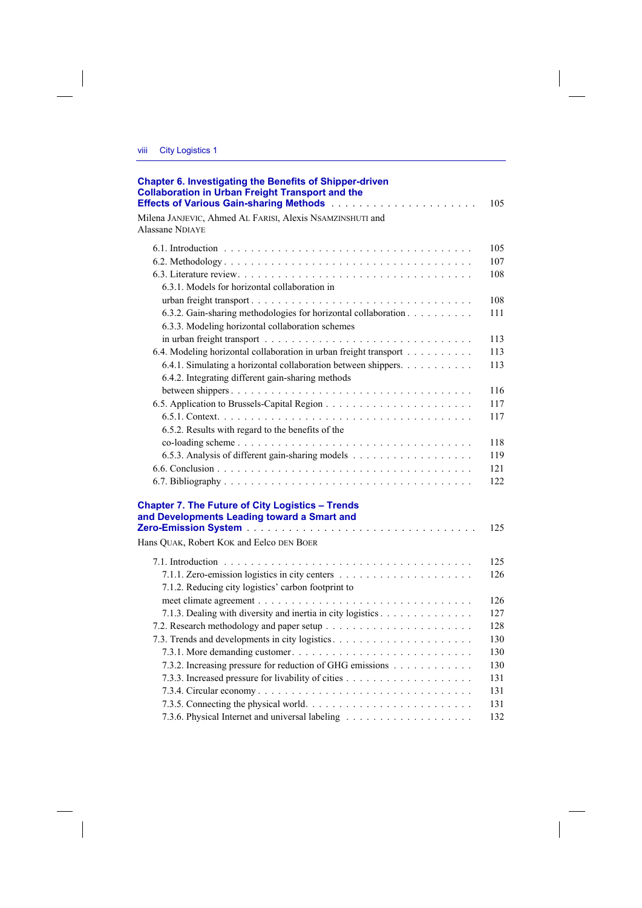$\begin{array}{c} \hline \end{array}$ 

| <b>Chapter 6. Investigating the Benefits of Shipper-driven</b><br><b>Collaboration in Urban Freight Transport and the</b> | 105 |
|---------------------------------------------------------------------------------------------------------------------------|-----|
| Milena JANJEVIC, Ahmed AL FARISI, Alexis NSAMZINSHUTI and<br><b>Alassane NDIAYE</b>                                       |     |
|                                                                                                                           | 105 |
|                                                                                                                           | 107 |
| 6.3.1. Models for horizontal collaboration in                                                                             | 108 |
|                                                                                                                           | 108 |
| 6.3.2. Gain-sharing methodologies for horizontal collaboration<br>6.3.3. Modeling horizontal collaboration schemes        | 111 |
|                                                                                                                           | 113 |
| 6.4. Modeling horizontal collaboration in urban freight transport                                                         | 113 |
| 6.4.1. Simulating a horizontal collaboration between shippers.<br>6.4.2. Integrating different gain-sharing methods       | 113 |
|                                                                                                                           | 116 |
|                                                                                                                           | 117 |
| 6.5.2. Results with regard to the benefits of the                                                                         | 117 |
|                                                                                                                           | 118 |
|                                                                                                                           | 119 |
|                                                                                                                           | 121 |
|                                                                                                                           | 122 |
| <b>Chapter 7. The Future of City Logistics - Trends</b><br>and Developments Leading toward a Smart and                    | 125 |
| Hans QUAK, Robert KOK and Eelco DEN BOER                                                                                  |     |
|                                                                                                                           | 125 |
|                                                                                                                           | 126 |
| 7.1.2. Reducing city logistics' carbon footprint to                                                                       |     |
|                                                                                                                           | 126 |
| 7.1.3. Dealing with diversity and inertia in city logistics                                                               | 127 |
|                                                                                                                           | 128 |
|                                                                                                                           | 130 |
|                                                                                                                           | 130 |
| 7.3.2. Increasing pressure for reduction of GHG emissions                                                                 | 130 |
|                                                                                                                           | 131 |
|                                                                                                                           | 131 |
|                                                                                                                           | 131 |
|                                                                                                                           | 132 |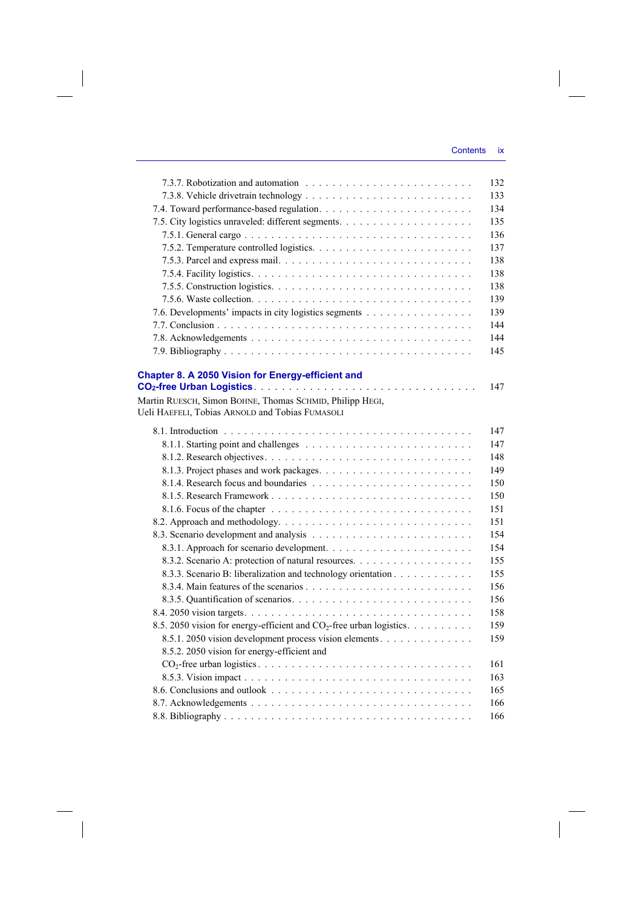$\Big\}$ 

| 7.6. Developments' impacts in city logistics segments                                                       |  |
|-------------------------------------------------------------------------------------------------------------|--|
|                                                                                                             |  |
|                                                                                                             |  |
|                                                                                                             |  |
|                                                                                                             |  |
| Chapter 8. A 2050 Vision for Energy-efficient and                                                           |  |
|                                                                                                             |  |
| Martin RUESCH, Simon BOHNE, Thomas SCHMID, Philipp HEGI,<br>Ueli HAEFELI, Tobias ARNOLD and Tobias FUMASOLI |  |
|                                                                                                             |  |
|                                                                                                             |  |
|                                                                                                             |  |
|                                                                                                             |  |
|                                                                                                             |  |
|                                                                                                             |  |
|                                                                                                             |  |
|                                                                                                             |  |
|                                                                                                             |  |
|                                                                                                             |  |
|                                                                                                             |  |
| 8.3.2. Scenario A: protection of natural resources.                                                         |  |
| 8.3.3. Scenario B: liberalization and technology orientation                                                |  |
|                                                                                                             |  |
|                                                                                                             |  |
|                                                                                                             |  |
| 8.5. 2050 vision for energy-efficient and CO <sub>2</sub> -free urban logistics.                            |  |
| 8.5.1. 2050 vision development process vision elements.                                                     |  |
| 8.5.2. 2050 vision for energy-efficient and                                                                 |  |
|                                                                                                             |  |
|                                                                                                             |  |
|                                                                                                             |  |
|                                                                                                             |  |
|                                                                                                             |  |
|                                                                                                             |  |

 $\overline{\phantom{a}}$ 

 $\begin{array}{c} \hline \end{array}$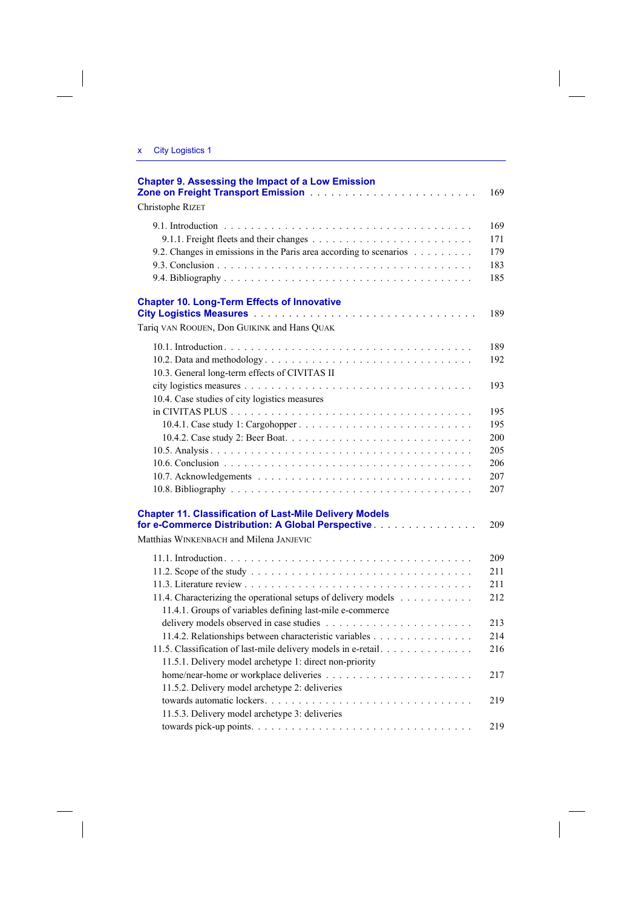$\begin{array}{c} \hline \end{array}$ 

 $\begin{array}{c} \hline \end{array}$ 

| <b>Chapter 9. Assessing the Impact of a Low Emission</b><br>Zone on Freight Transport Emission <b>Constitution Constitution Constitution Constitution</b> | 169 |
|-----------------------------------------------------------------------------------------------------------------------------------------------------------|-----|
| Christophe RIZET                                                                                                                                          |     |
|                                                                                                                                                           | 169 |
|                                                                                                                                                           | 171 |
| 9.2. Changes in emissions in the Paris area according to scenarios                                                                                        | 179 |
|                                                                                                                                                           | 183 |
|                                                                                                                                                           | 185 |
| <b>Chapter 10. Long-Term Effects of Innovative</b>                                                                                                        | 189 |
| Tariq VAN ROOIJEN, Don GUIKINK and Hans QUAK                                                                                                              |     |
|                                                                                                                                                           | 189 |
|                                                                                                                                                           | 192 |
| 10.3. General long-term effects of CIVITAS II                                                                                                             |     |
|                                                                                                                                                           | 193 |
| 10.4. Case studies of city logistics measures                                                                                                             |     |
|                                                                                                                                                           | 195 |
|                                                                                                                                                           | 195 |
|                                                                                                                                                           | 200 |
|                                                                                                                                                           | 205 |
|                                                                                                                                                           | 206 |
|                                                                                                                                                           | 207 |
|                                                                                                                                                           | 207 |
| <b>Chapter 11. Classification of Last-Mile Delivery Models</b><br>for e-Commerce Distribution: A Global Perspective.                                      | 209 |
| Matthias WINKENBACH and Milena JANJEVIC                                                                                                                   |     |
|                                                                                                                                                           | 209 |
|                                                                                                                                                           | 211 |
|                                                                                                                                                           | 211 |
| 11.4. Characterizing the operational setups of delivery models                                                                                            | 212 |
| 11.4.1. Groups of variables defining last-mile e-commerce                                                                                                 |     |
|                                                                                                                                                           | 213 |
| 11.4.2. Relationships between characteristic variables                                                                                                    | 214 |
| 11.5. Classification of last-mile delivery models in e-retail.                                                                                            | 216 |
| 11.5.1. Delivery model archetype 1: direct non-priority                                                                                                   |     |
|                                                                                                                                                           | 217 |
| 11.5.2. Delivery model archetype 2: deliveries                                                                                                            |     |
|                                                                                                                                                           | 219 |
| 11.5.3. Delivery model archetype 3: deliveries                                                                                                            |     |
|                                                                                                                                                           | 219 |

 $\Big\}$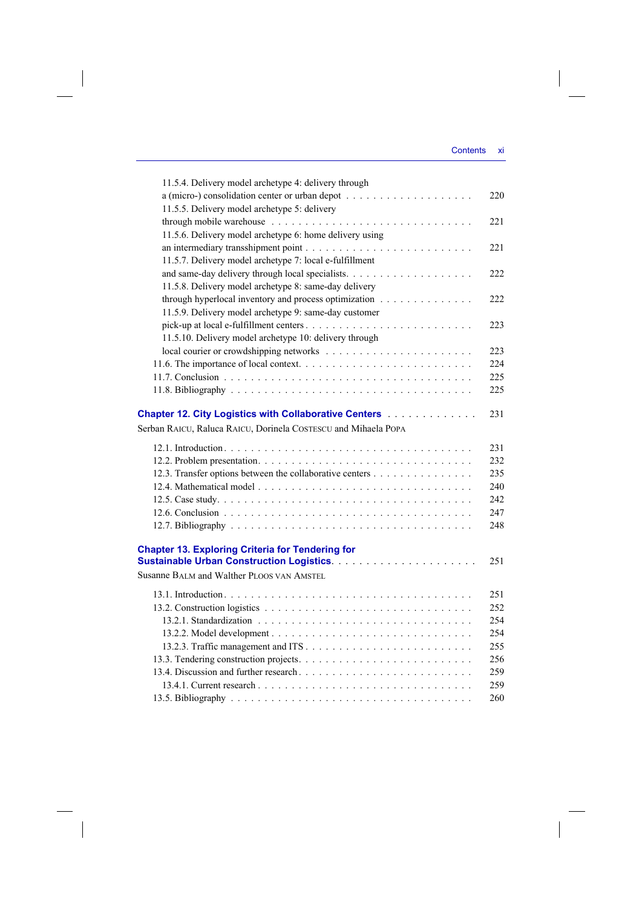$\Big\}$ 

| 11.5.5. Delivery model archetype 5: delivery<br>through mobile warehouse $\ldots \ldots \ldots \ldots \ldots \ldots \ldots \ldots \ldots \ldots$<br>11.5.6. Delivery model archetype 6: home delivery using<br>11.5.7. Delivery model archetype 7: local e-fulfillment<br>11.5.8. Delivery model archetype 8: same-day delivery<br>through hyperlocal inventory and process optimization<br>11.5.9. Delivery model archetype 9: same-day customer<br>11.5.10. Delivery model archetype 10: delivery through<br><b>Chapter 12. City Logistics with Collaborative Centers Manual Lines Constructs</b><br>231<br>Serban RAICU, Raluca RAICU, Dorinela COSTESCU and Mihaela POPA<br>12.3. Transfer options between the collaborative centers<br><b>Chapter 13. Exploring Criteria for Tendering for</b><br>Susanne BALM and Walther PLOOS VAN AMSTEL | 11.5.4. Delivery model archetype 4: delivery through |     |
|--------------------------------------------------------------------------------------------------------------------------------------------------------------------------------------------------------------------------------------------------------------------------------------------------------------------------------------------------------------------------------------------------------------------------------------------------------------------------------------------------------------------------------------------------------------------------------------------------------------------------------------------------------------------------------------------------------------------------------------------------------------------------------------------------------------------------------------------------|------------------------------------------------------|-----|
|                                                                                                                                                                                                                                                                                                                                                                                                                                                                                                                                                                                                                                                                                                                                                                                                                                                  |                                                      | 220 |
|                                                                                                                                                                                                                                                                                                                                                                                                                                                                                                                                                                                                                                                                                                                                                                                                                                                  |                                                      |     |
|                                                                                                                                                                                                                                                                                                                                                                                                                                                                                                                                                                                                                                                                                                                                                                                                                                                  |                                                      | 221 |
|                                                                                                                                                                                                                                                                                                                                                                                                                                                                                                                                                                                                                                                                                                                                                                                                                                                  |                                                      |     |
|                                                                                                                                                                                                                                                                                                                                                                                                                                                                                                                                                                                                                                                                                                                                                                                                                                                  |                                                      | 221 |
|                                                                                                                                                                                                                                                                                                                                                                                                                                                                                                                                                                                                                                                                                                                                                                                                                                                  |                                                      |     |
|                                                                                                                                                                                                                                                                                                                                                                                                                                                                                                                                                                                                                                                                                                                                                                                                                                                  |                                                      | 222 |
|                                                                                                                                                                                                                                                                                                                                                                                                                                                                                                                                                                                                                                                                                                                                                                                                                                                  |                                                      |     |
|                                                                                                                                                                                                                                                                                                                                                                                                                                                                                                                                                                                                                                                                                                                                                                                                                                                  |                                                      | 222 |
|                                                                                                                                                                                                                                                                                                                                                                                                                                                                                                                                                                                                                                                                                                                                                                                                                                                  |                                                      |     |
|                                                                                                                                                                                                                                                                                                                                                                                                                                                                                                                                                                                                                                                                                                                                                                                                                                                  |                                                      | 223 |
|                                                                                                                                                                                                                                                                                                                                                                                                                                                                                                                                                                                                                                                                                                                                                                                                                                                  |                                                      |     |
|                                                                                                                                                                                                                                                                                                                                                                                                                                                                                                                                                                                                                                                                                                                                                                                                                                                  |                                                      | 223 |
|                                                                                                                                                                                                                                                                                                                                                                                                                                                                                                                                                                                                                                                                                                                                                                                                                                                  |                                                      | 224 |
|                                                                                                                                                                                                                                                                                                                                                                                                                                                                                                                                                                                                                                                                                                                                                                                                                                                  |                                                      | 225 |
|                                                                                                                                                                                                                                                                                                                                                                                                                                                                                                                                                                                                                                                                                                                                                                                                                                                  |                                                      | 225 |
|                                                                                                                                                                                                                                                                                                                                                                                                                                                                                                                                                                                                                                                                                                                                                                                                                                                  |                                                      |     |
|                                                                                                                                                                                                                                                                                                                                                                                                                                                                                                                                                                                                                                                                                                                                                                                                                                                  |                                                      |     |
|                                                                                                                                                                                                                                                                                                                                                                                                                                                                                                                                                                                                                                                                                                                                                                                                                                                  |                                                      |     |
|                                                                                                                                                                                                                                                                                                                                                                                                                                                                                                                                                                                                                                                                                                                                                                                                                                                  |                                                      | 231 |
|                                                                                                                                                                                                                                                                                                                                                                                                                                                                                                                                                                                                                                                                                                                                                                                                                                                  |                                                      | 232 |
|                                                                                                                                                                                                                                                                                                                                                                                                                                                                                                                                                                                                                                                                                                                                                                                                                                                  |                                                      | 235 |
|                                                                                                                                                                                                                                                                                                                                                                                                                                                                                                                                                                                                                                                                                                                                                                                                                                                  |                                                      | 240 |
|                                                                                                                                                                                                                                                                                                                                                                                                                                                                                                                                                                                                                                                                                                                                                                                                                                                  |                                                      | 242 |
|                                                                                                                                                                                                                                                                                                                                                                                                                                                                                                                                                                                                                                                                                                                                                                                                                                                  |                                                      | 247 |
|                                                                                                                                                                                                                                                                                                                                                                                                                                                                                                                                                                                                                                                                                                                                                                                                                                                  |                                                      | 248 |
|                                                                                                                                                                                                                                                                                                                                                                                                                                                                                                                                                                                                                                                                                                                                                                                                                                                  |                                                      |     |
|                                                                                                                                                                                                                                                                                                                                                                                                                                                                                                                                                                                                                                                                                                                                                                                                                                                  |                                                      | 251 |
|                                                                                                                                                                                                                                                                                                                                                                                                                                                                                                                                                                                                                                                                                                                                                                                                                                                  |                                                      |     |
|                                                                                                                                                                                                                                                                                                                                                                                                                                                                                                                                                                                                                                                                                                                                                                                                                                                  |                                                      | 251 |
|                                                                                                                                                                                                                                                                                                                                                                                                                                                                                                                                                                                                                                                                                                                                                                                                                                                  |                                                      | 252 |
|                                                                                                                                                                                                                                                                                                                                                                                                                                                                                                                                                                                                                                                                                                                                                                                                                                                  |                                                      | 254 |
|                                                                                                                                                                                                                                                                                                                                                                                                                                                                                                                                                                                                                                                                                                                                                                                                                                                  |                                                      | 254 |
|                                                                                                                                                                                                                                                                                                                                                                                                                                                                                                                                                                                                                                                                                                                                                                                                                                                  |                                                      | 255 |
|                                                                                                                                                                                                                                                                                                                                                                                                                                                                                                                                                                                                                                                                                                                                                                                                                                                  |                                                      | 256 |
|                                                                                                                                                                                                                                                                                                                                                                                                                                                                                                                                                                                                                                                                                                                                                                                                                                                  |                                                      | 259 |
|                                                                                                                                                                                                                                                                                                                                                                                                                                                                                                                                                                                                                                                                                                                                                                                                                                                  |                                                      | 259 |
|                                                                                                                                                                                                                                                                                                                                                                                                                                                                                                                                                                                                                                                                                                                                                                                                                                                  |                                                      | 260 |

 $\overline{\phantom{a}}$ 

 $\begin{array}{c} \hline \end{array}$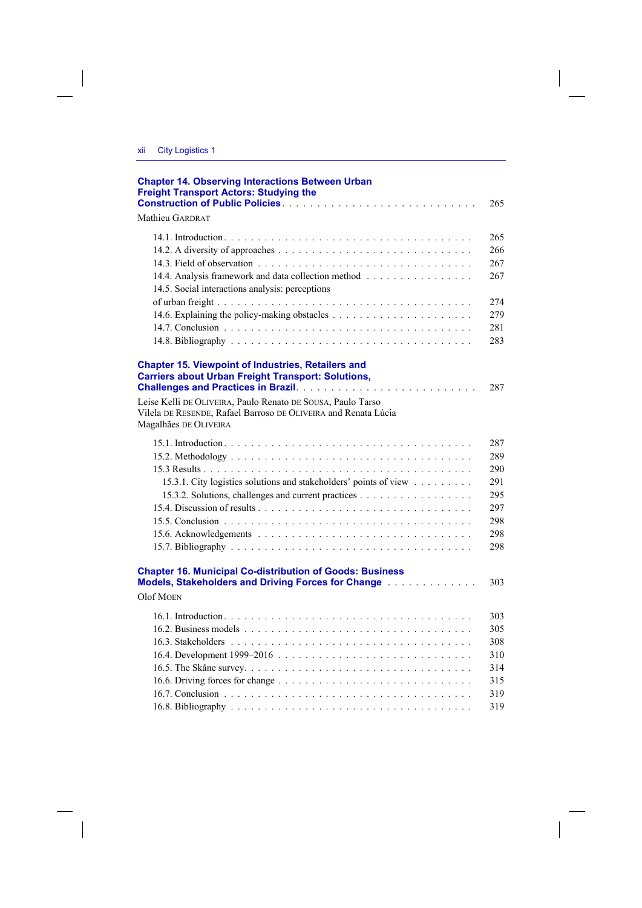$\sim$   $\,$   $\,$ 

| <b>Chapter 14. Observing Interactions Between Urban</b><br><b>Freight Transport Actors: Studying the</b>                                                                                                                                                                         | 265                                                         |
|----------------------------------------------------------------------------------------------------------------------------------------------------------------------------------------------------------------------------------------------------------------------------------|-------------------------------------------------------------|
| Mathieu GARDRAT                                                                                                                                                                                                                                                                  |                                                             |
| 14.4. Analysis framework and data collection method<br>14.5. Social interactions analysis: perceptions                                                                                                                                                                           | 265<br>266<br>267<br>267<br>274<br>279<br>281<br>283        |
| <b>Chapter 15. Viewpoint of Industries, Retailers and</b><br><b>Carriers about Urban Freight Transport: Solutions,</b><br>Leise Kelli DE OLIVEIRA, Paulo Renato DE SOUSA, Paulo Tarso<br>Vilela DE RESENDE, Rafael Barroso DE OLIVEIRA and Renata Lúcia<br>Magalhães DE OLIVEIRA | 287                                                         |
| 15.3.1. City logistics solutions and stakeholders' points of view<br>15.3.2. Solutions, challenges and current practices                                                                                                                                                         | 287<br>289<br>290<br>291<br>295<br>297<br>298<br>298<br>298 |
| <b>Chapter 16. Municipal Co-distribution of Goods: Business</b><br>Models, Stakeholders and Driving Forces for Change Manual Allen Links<br><b>Olof MOEN</b>                                                                                                                     | 303                                                         |
|                                                                                                                                                                                                                                                                                  | 303<br>305<br>308<br>310<br>314<br>315<br>319<br>319        |

 $\overline{\phantom{a}}$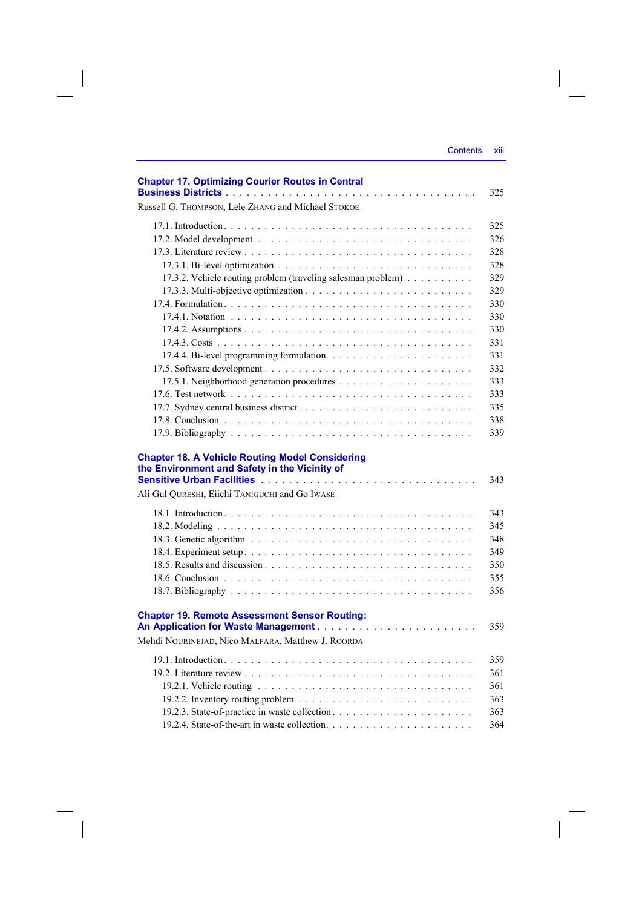| Contents | XIII |
|----------|------|
|          |      |

| Russell G. THOMPSON, Lele ZHANG and Michael STOKOE<br>325<br>326<br>328<br>328<br>17.3.2. Vehicle routing problem (traveling salesman problem)<br>329<br>329<br>330<br>330<br>330<br>331<br>331<br>332<br>333<br>333<br>335<br>338<br>339<br><b>Chapter 18. A Vehicle Routing Model Considering</b><br>the Environment and Safety in the Vicinity of<br>343<br>Ali Gul QURESHI, Eiichi TANIGUCHI and Go IWASE<br>343 |
|----------------------------------------------------------------------------------------------------------------------------------------------------------------------------------------------------------------------------------------------------------------------------------------------------------------------------------------------------------------------------------------------------------------------|
|                                                                                                                                                                                                                                                                                                                                                                                                                      |
|                                                                                                                                                                                                                                                                                                                                                                                                                      |
|                                                                                                                                                                                                                                                                                                                                                                                                                      |
|                                                                                                                                                                                                                                                                                                                                                                                                                      |
|                                                                                                                                                                                                                                                                                                                                                                                                                      |
|                                                                                                                                                                                                                                                                                                                                                                                                                      |
|                                                                                                                                                                                                                                                                                                                                                                                                                      |
|                                                                                                                                                                                                                                                                                                                                                                                                                      |
| 345<br>348<br>349<br>350<br>355<br>356                                                                                                                                                                                                                                                                                                                                                                               |
| <b>Chapter 19. Remote Assessment Sensor Routing:</b><br>359<br>Mehdi NOURINEJAD, Nico MALFARA, Matthew J. ROORDA                                                                                                                                                                                                                                                                                                     |
| 359<br>361<br>361<br>363<br>363<br>364                                                                                                                                                                                                                                                                                                                                                                               |